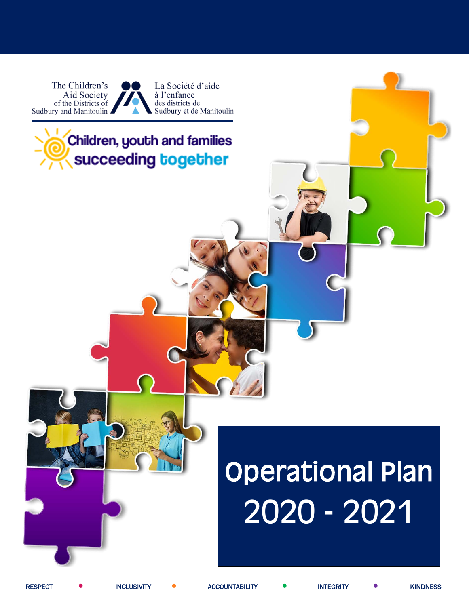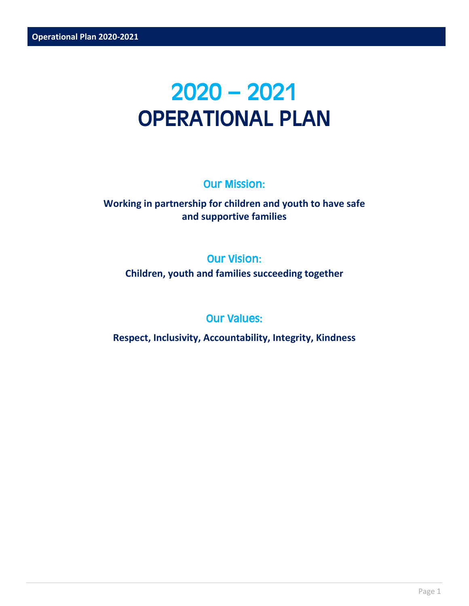## 2020 – 2021 OPERATIONAL PLAN

## Our Mission:

## **Working in partnership for children and youth to have safe and supportive families**

## Our Vision:

**Children, youth and families succeeding together**

## Our Values:

**Respect, Inclusivity, Accountability, Integrity, Kindness**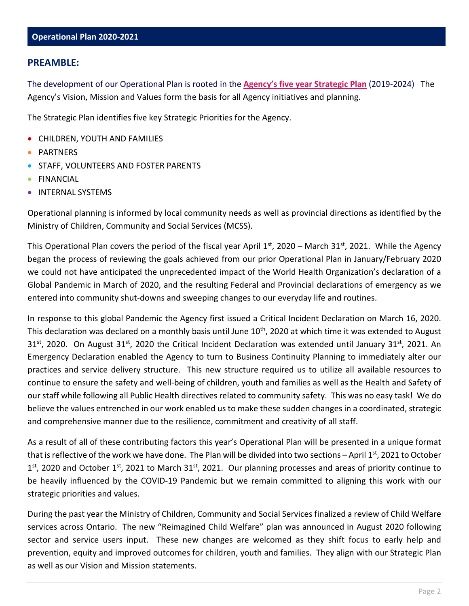The development of our Operational Plan is rooted in the **[Agency's five year Strategic Plan](http://www.casdsm.on.ca/wp-content/uploads/2019/10/Strategic-Plan-FINAL-EN.pdf)** (2019-2024) The Agency's Vision, Mission and Values form the basis for all Agency initiatives and planning.

The Strategic Plan identifies five key Strategic Priorities for the Agency.

- CHILDREN, YOUTH AND FAMILIES
- **PARTNERS**
- STAFF, VOLUNTEERS AND FOSTER PARENTS
- FINANCIAL
- INTERNAL SYSTEMS

Operational planning is informed by local community needs as well as provincial directions as identified by the Ministry of Children, Community and Social Services (MCSS).

This Operational Plan covers the period of the fiscal year April  $1<sup>st</sup>$ , 2020 – March 31<sup>st</sup>, 2021. While the Agency began the process of reviewing the goals achieved from our prior Operational Plan in January/February 2020 we could not have anticipated the unprecedented impact of the World Health Organization's declaration of a Global Pandemic in March of 2020, and the resulting Federal and Provincial declarations of emergency as we entered into community shut-downs and sweeping changes to our everyday life and routines.

In response to this global Pandemic the Agency first issued a Critical Incident Declaration on March 16, 2020. This declaration was declared on a monthly basis until June 10<sup>th</sup>, 2020 at which time it was extended to August  $31<sup>st</sup>$ , 2020. On August 31<sup>st</sup>, 2020 the Critical Incident Declaration was extended until January 31<sup>st</sup>, 2021. An Emergency Declaration enabled the Agency to turn to Business Continuity Planning to immediately alter our practices and service delivery structure. This new structure required us to utilize all available resources to continue to ensure the safety and well-being of children, youth and families as well as the Health and Safety of our staff while following all Public Health directives related to community safety. This was no easy task! We do believe the values entrenched in our work enabled us to make these sudden changes in a coordinated, strategic and comprehensive manner due to the resilience, commitment and creativity of all staff.

As a result of all of these contributing factors this year's Operational Plan will be presented in a unique format that is reflective of the work we have done. The Plan will be divided into two sections – April  $1<sup>st</sup>$ , 2021 to October  $1<sup>st</sup>$ , 2020 and October  $1<sup>st</sup>$ , 2021 to March 31 $<sup>st</sup>$ , 2021. Our planning processes and areas of priority continue to</sup> be heavily influenced by the COVID-19 Pandemic but we remain committed to aligning this work with our strategic priorities and values.

During the past year the Ministry of Children, Community and Social Services finalized a review of Child Welfare services across Ontario. The new "Reimagined Child Welfare" plan was announced in August 2020 following sector and service users input. These new changes are welcomed as they shift focus to early help and prevention, equity and improved outcomes for children, youth and families. They align with our Strategic Plan as well as our Vision and Mission statements.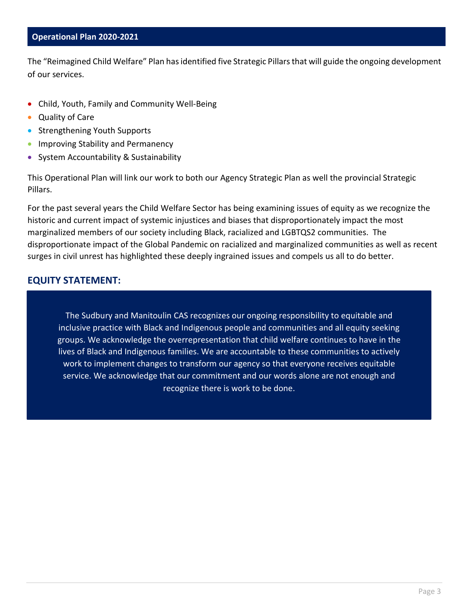The "Reimagined Child Welfare" Plan has identified five Strategic Pillars that will guide the ongoing development of our services.

- Child, Youth, Family and Community Well-Being
- Quality of Care
- Strengthening Youth Supports
- Improving Stability and Permanency
- System Accountability & Sustainability

This Operational Plan will link our work to both our Agency Strategic Plan as well the provincial Strategic Pillars.

For the past several years the Child Welfare Sector has being examining issues of equity as we recognize the historic and current impact of systemic injustices and biases that disproportionately impact the most marginalized members of our society including Black, racialized and LGBTQS2 communities. The disproportionate impact of the Global Pandemic on racialized and marginalized communities as well as recent surges in civil unrest has highlighted these deeply ingrained issues and compels us all to do better.

#### **EQUITY STATEMENT:**

The Sudbury and Manitoulin CAS recognizes our ongoing responsibility to equitable and inclusive practice with Black and Indigenous people and communities and all equity seeking groups. We acknowledge the overrepresentation that child welfare continues to have in the lives of Black and Indigenous families. We are accountable to these communities to actively work to implement changes to transform our agency so that everyone receives equitable service. We acknowledge that our commitment and our words alone are not enough and recognize there is work to be done.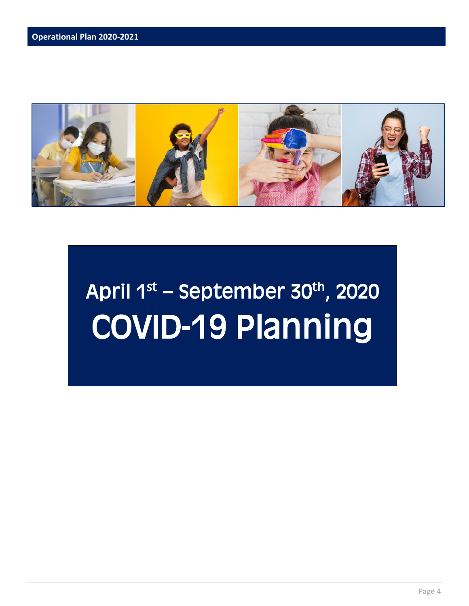

# April  $1^{st}$  – September 30<sup>th</sup>, 2020 COVID-19 Planning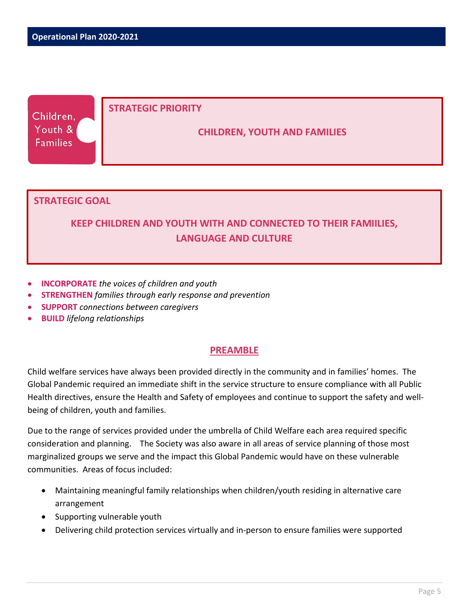| Children,       |  | STRATEGIC PRIORITY                  |
|-----------------|--|-------------------------------------|
| Youth &         |  | <b>CHILDREN, YOUTH AND FAMILIES</b> |
| <b>Families</b> |  |                                     |

#### **STRATEGIC GOAL**

## **KEEP CHILDREN AND YOUTH WITH AND CONNECTED TO THEIR FAMIILIES, LANGUAGE AND CULTURE**

- **INCORPORATE** *the voices of children and youth*
- **STRENGTHEN** *families through early response and prevention*
- **SUPPORT** *connections between caregivers*
- **BUILD** *lifelong relationships*

#### **PREAMBLE**

Child welfare services have always been provided directly in the community and in families' homes. The Global Pandemic required an immediate shift in the service structure to ensure compliance with all Public Health directives, ensure the Health and Safety of employees and continue to support the safety and wellbeing of children, youth and families.

Due to the range of services provided under the umbrella of Child Welfare each area required specific consideration and planning. The Society was also aware in all areas of service planning of those most marginalized groups we serve and the impact this Global Pandemic would have on these vulnerable communities. Areas of focus included:

- Maintaining meaningful family relationships when children/youth residing in alternative care arrangement
- Supporting vulnerable youth
- Delivering child protection services virtually and in-person to ensure families were supported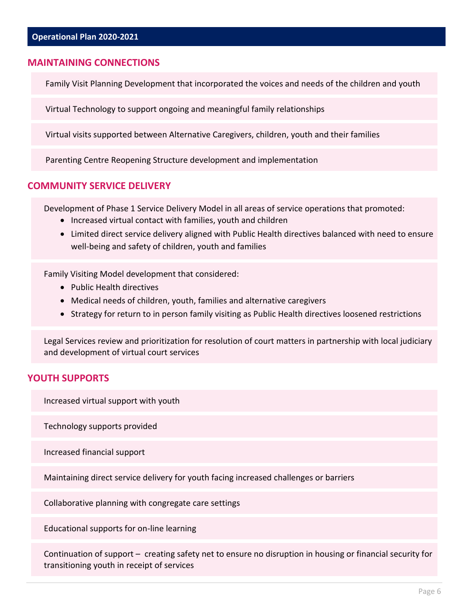#### **MAINTAINING CONNECTIONS**

Family Visit Planning Development that incorporated the voices and needs of the children and youth

Virtual Technology to support ongoing and meaningful family relationships

Virtual visits supported between Alternative Caregivers, children, youth and their families

Parenting Centre Reopening Structure development and implementation

#### **COMMUNITY SERVICE DELIVERY**

Development of Phase 1 Service Delivery Model in all areas of service operations that promoted:

- Increased virtual contact with families, youth and children
- Limited direct service delivery aligned with Public Health directives balanced with need to ensure well-being and safety of children, youth and families

Family Visiting Model development that considered:

- Public Health directives
- Medical needs of children, youth, families and alternative caregivers
- Strategy for return to in person family visiting as Public Health directives loosened restrictions

Legal Services review and prioritization for resolution of court matters in partnership with local judiciary and development of virtual court services

#### **YOUTH SUPPORTS**

Increased virtual support with youth

Technology supports provided

Increased financial support

Maintaining direct service delivery for youth facing increased challenges or barriers

Collaborative planning with congregate care settings

Educational supports for on-line learning

Continuation of support – creating safety net to ensure no disruption in housing or financial security for transitioning youth in receipt of services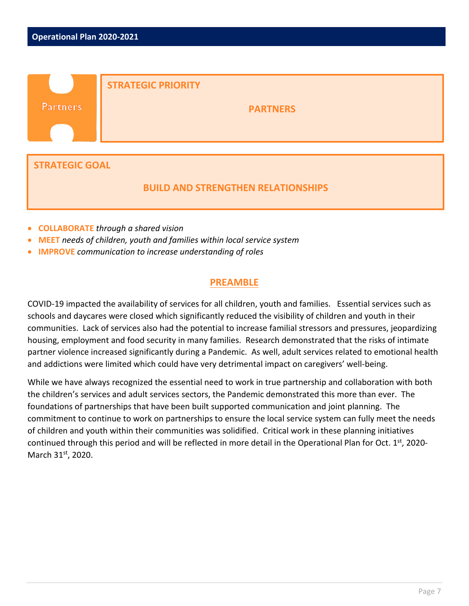|                       | <b>STRATEGIC PRIORITY</b> |
|-----------------------|---------------------------|
| <b>Partners</b>       | <b>PARTNERS</b>           |
|                       |                           |
|                       |                           |
| <b>STRATEGIC GOAL</b> |                           |

#### **BUILD AND STRENGTHEN RELATIONSHIPS**

- **COLLABORATE** *through a shared vision*
- **MEET** *needs of children, youth and families within local service system*
- **IMPROVE** *communication to increase understanding of roles*

#### **PREAMBLE**

COVID-19 impacted the availability of services for all children, youth and families. Essential services such as schools and daycares were closed which significantly reduced the visibility of children and youth in their communities. Lack of services also had the potential to increase familial stressors and pressures, jeopardizing housing, employment and food security in many families. Research demonstrated that the risks of intimate partner violence increased significantly during a Pandemic. As well, adult services related to emotional health and addictions were limited which could have very detrimental impact on caregivers' well-being.

While we have always recognized the essential need to work in true partnership and collaboration with both the children's services and adult services sectors, the Pandemic demonstrated this more than ever. The foundations of partnerships that have been built supported communication and joint planning. The commitment to continue to work on partnerships to ensure the local service system can fully meet the needs of children and youth within their communities was solidified. Critical work in these planning initiatives continued through this period and will be reflected in more detail in the Operational Plan for Oct. 1<sup>st</sup>, 2020-March 31st, 2020.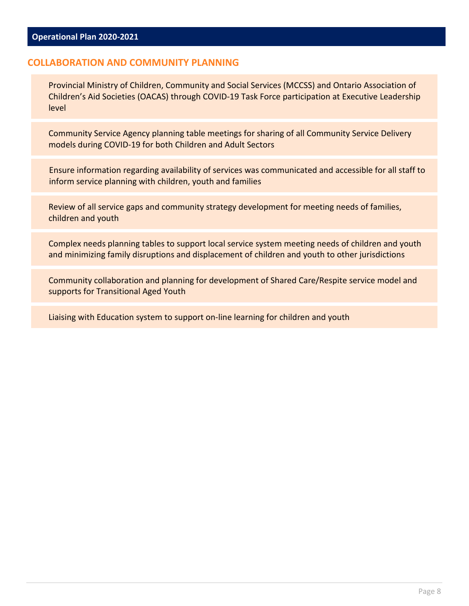#### **COLLABORATION AND COMMUNITY PLANNING**

Provincial Ministry of Children, Community and Social Services (MCCSS) and Ontario Association of Children's Aid Societies (OACAS) through COVID-19 Task Force participation at Executive Leadership level

Community Service Agency planning table meetings for sharing of all Community Service Delivery models during COVID-19 for both Children and Adult Sectors

Ensure information regarding availability of services was communicated and accessible for all staff to inform service planning with children, youth and families

Review of all service gaps and community strategy development for meeting needs of families, children and youth

Complex needs planning tables to support local service system meeting needs of children and youth and minimizing family disruptions and displacement of children and youth to other jurisdictions

Community collaboration and planning for development of Shared Care/Respite service model and supports for Transitional Aged Youth

Liaising with Education system to support on-line learning for children and youth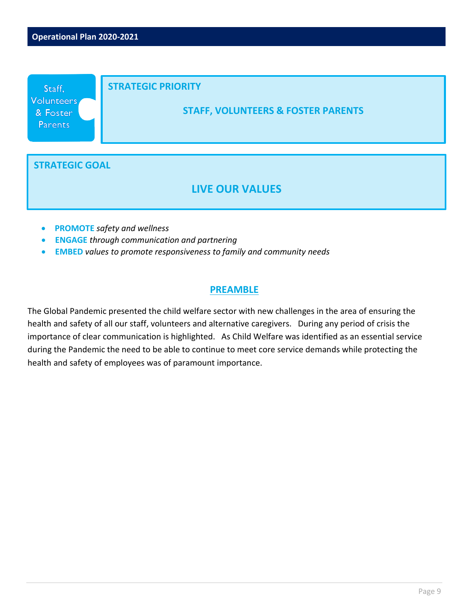

- **PROMOTE** *safety and wellness*
- **ENGAGE** *through communication and partnering*
- **EMBED** *values to promote responsiveness to family and community needs*

The Global Pandemic presented the child welfare sector with new challenges in the area of ensuring the health and safety of all our staff, volunteers and alternative caregivers. During any period of crisis the importance of clear communication is highlighted. As Child Welfare was identified as an essential service during the Pandemic the need to be able to continue to meet core service demands while protecting the health and safety of employees was of paramount importance.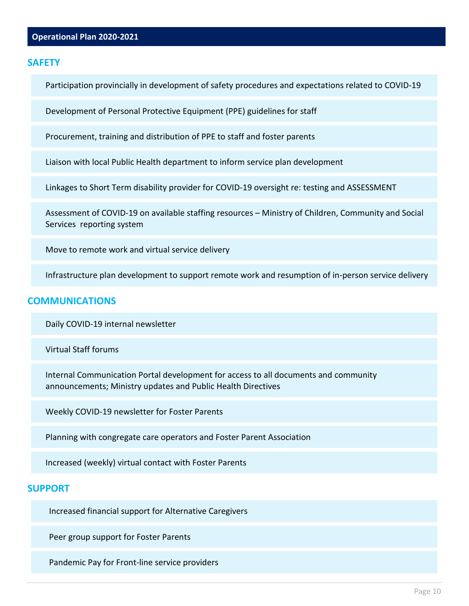#### **SAFETY**

Participation provincially in development of safety procedures and expectations related to COVID-19

Development of Personal Protective Equipment (PPE) guidelines for staff

Procurement, training and distribution of PPE to staff and foster parents

Liaison with local Public Health department to inform service plan development

Linkages to Short Term disability provider for COVID-19 oversight re: testing and ASSESSMENT

Assessment of COVID-19 on available staffing resources – Ministry of Children, Community and Social Services reporting system

Move to remote work and virtual service delivery

Infrastructure plan development to support remote work and resumption of in-person service delivery

#### **COMMUNICATIONS**

Daily COVID-19 internal newsletter

Virtual Staff forums

Internal Communication Portal development for access to all documents and community announcements; Ministry updates and Public Health Directives

Weekly COVID-19 newsletter for Foster Parents

Planning with congregate care operators and Foster Parent Association

Increased (weekly) virtual contact with Foster Parents

#### **SUPPORT**

Increased financial support for Alternative Caregivers

Peer group support for Foster Parents

Pandemic Pay for Front-line service providers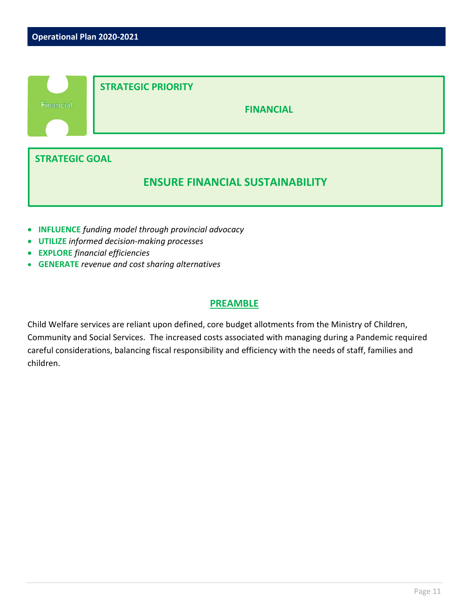

- **INFLUENCE** *funding model through provincial advocacy*
- **UTILIZE** *informed decision-making processes*
- **EXPLORE** *financial efficiencies*
- **GENERATE** *revenue and cost sharing alternatives*

Child Welfare services are reliant upon defined, core budget allotments from the Ministry of Children, Community and Social Services. The increased costs associated with managing during a Pandemic required careful considerations, balancing fiscal responsibility and efficiency with the needs of staff, families and children.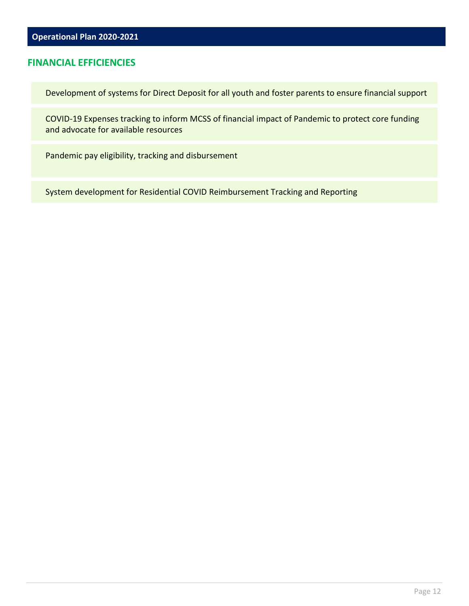#### **FINANCIAL EFFICIENCIES**

Development of systems for Direct Deposit for all youth and foster parents to ensure financial support

COVID-19 Expenses tracking to inform MCSS of financial impact of Pandemic to protect core funding and advocate for available resources

Pandemic pay eligibility, tracking and disbursement

System development for Residential COVID Reimbursement Tracking and Reporting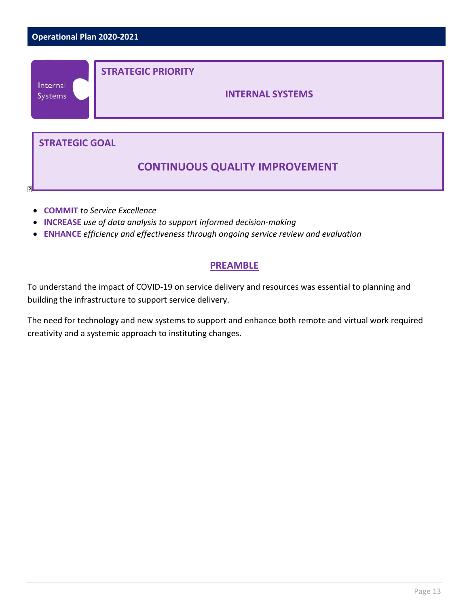

- **COMMIT** *to Service Excellence*
- **INCREASE** *use of data analysis to support informed decision-making*
- **ENHANCE** *efficiency and effectiveness through ongoing service review and evaluation*

To understand the impact of COVID-19 on service delivery and resources was essential to planning and building the infrastructure to support service delivery.

The need for technology and new systems to support and enhance both remote and virtual work required creativity and a systemic approach to instituting changes.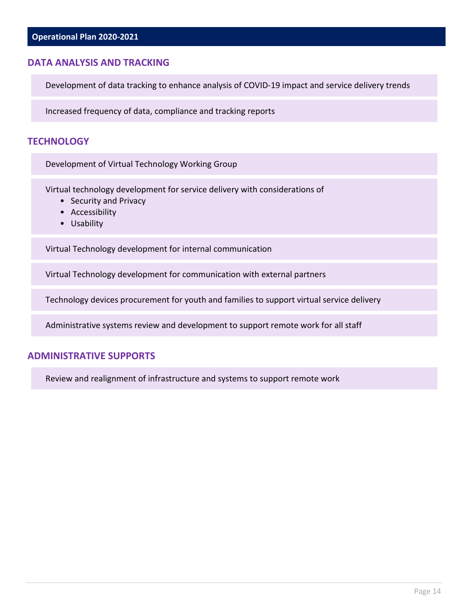#### **DATA ANALYSIS AND TRACKING**

Development of data tracking to enhance analysis of COVID-19 impact and service delivery trends

Increased frequency of data, compliance and tracking reports

#### **TECHNOLOGY**

Development of Virtual Technology Working Group

Virtual technology development for service delivery with considerations of

- Security and Privacy
- Accessibility
- Usability

Virtual Technology development for internal communication

Virtual Technology development for communication with external partners

Technology devices procurement for youth and families to support virtual service delivery

Administrative systems review and development to support remote work for all staff

#### **ADMINISTRATIVE SUPPORTS**

Review and realignment of infrastructure and systems to support remote work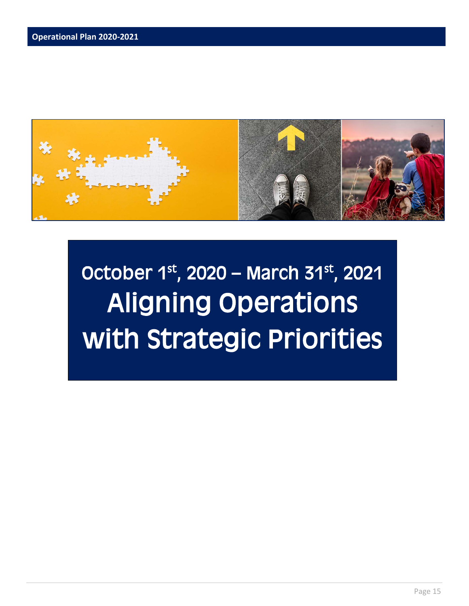

## October  $1^{st}$ , 2020 – March 31st, 2021 Aligning Operations with Strategic Priorities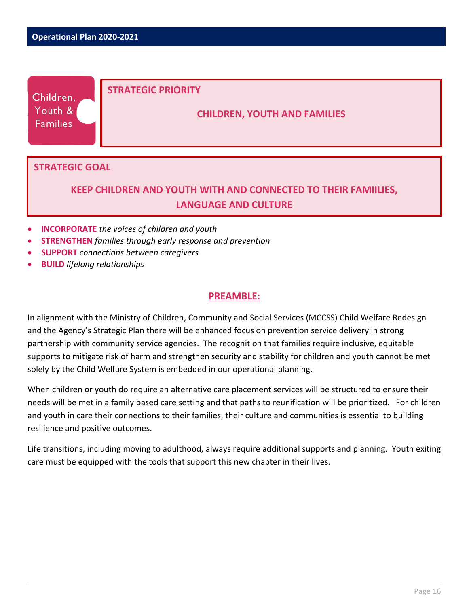| Children,<br>Youth &<br><b>Families</b> | <b>STRATEGIC PRIORITY</b><br><b>CHILDREN, YOUTH AND FAMILIES</b> |
|-----------------------------------------|------------------------------------------------------------------|
| <b>STRATEGIC GOAL</b>                   |                                                                  |

## **KEEP CHILDREN AND YOUTH WITH AND CONNECTED TO THEIR FAMIILIES, LANGUAGE AND CULTURE**

- **INCORPORATE** *the voices of children and youth*
- **STRENGTHEN** *families through early response and prevention*
- **SUPPORT** *connections between caregivers*
- **BUILD** *lifelong relationships*

#### **PREAMBLE:**

In alignment with the Ministry of Children, Community and Social Services (MCCSS) Child Welfare Redesign and the Agency's Strategic Plan there will be enhanced focus on prevention service delivery in strong partnership with community service agencies. The recognition that families require inclusive, equitable supports to mitigate risk of harm and strengthen security and stability for children and youth cannot be met solely by the Child Welfare System is embedded in our operational planning.

When children or youth do require an alternative care placement services will be structured to ensure their needs will be met in a family based care setting and that paths to reunification will be prioritized. For children and youth in care their connections to their families, their culture and communities is essential to building resilience and positive outcomes.

Life transitions, including moving to adulthood, always require additional supports and planning. Youth exiting care must be equipped with the tools that support this new chapter in their lives.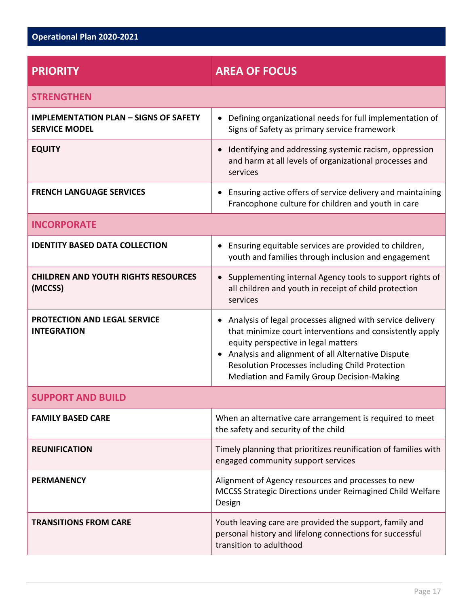| <b>PRIORITY</b>                                                      | <b>AREA OF FOCUS</b>                                                                                                                                                                                                                                                                                                              |
|----------------------------------------------------------------------|-----------------------------------------------------------------------------------------------------------------------------------------------------------------------------------------------------------------------------------------------------------------------------------------------------------------------------------|
| <b>STRENGTHEN</b>                                                    |                                                                                                                                                                                                                                                                                                                                   |
| <b>IMPLEMENTATION PLAN - SIGNS OF SAFETY</b><br><b>SERVICE MODEL</b> | Defining organizational needs for full implementation of<br>$\bullet$<br>Signs of Safety as primary service framework                                                                                                                                                                                                             |
| <b>EQUITY</b>                                                        | Identifying and addressing systemic racism, oppression<br>$\bullet$<br>and harm at all levels of organizational processes and<br>services                                                                                                                                                                                         |
| <b>FRENCH LANGUAGE SERVICES</b>                                      | Ensuring active offers of service delivery and maintaining<br>Francophone culture for children and youth in care                                                                                                                                                                                                                  |
| <b>INCORPORATE</b>                                                   |                                                                                                                                                                                                                                                                                                                                   |
| <b>IDENTITY BASED DATA COLLECTION</b>                                | Ensuring equitable services are provided to children,<br>$\bullet$<br>youth and families through inclusion and engagement                                                                                                                                                                                                         |
| <b>CHILDREN AND YOUTH RIGHTS RESOURCES</b><br>(MCCSS)                | Supplementing internal Agency tools to support rights of<br>$\bullet$<br>all children and youth in receipt of child protection<br>services                                                                                                                                                                                        |
| PROTECTION AND LEGAL SERVICE<br><b>INTEGRATION</b>                   | Analysis of legal processes aligned with service delivery<br>$\bullet$<br>that minimize court interventions and consistently apply<br>equity perspective in legal matters<br>• Analysis and alignment of all Alternative Dispute<br>Resolution Processes including Child Protection<br>Mediation and Family Group Decision-Making |
| <b>SUPPORT AND BUILD</b>                                             |                                                                                                                                                                                                                                                                                                                                   |
| <b>FAMILY BASED CARE</b>                                             | When an alternative care arrangement is required to meet<br>the safety and security of the child                                                                                                                                                                                                                                  |
| <b>REUNIFICATION</b>                                                 | Timely planning that prioritizes reunification of families with<br>engaged community support services                                                                                                                                                                                                                             |
| <b>PERMANENCY</b>                                                    | Alignment of Agency resources and processes to new<br>MCCSS Strategic Directions under Reimagined Child Welfare<br>Design                                                                                                                                                                                                         |
| <b>TRANSITIONS FROM CARE</b>                                         | Youth leaving care are provided the support, family and<br>personal history and lifelong connections for successful<br>transition to adulthood                                                                                                                                                                                    |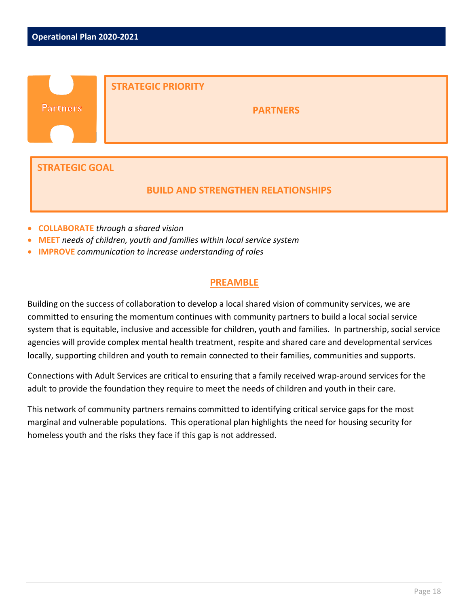|                                           | <b>STRATEGIC PRIORITY</b> |  |
|-------------------------------------------|---------------------------|--|
| <b>Partners</b>                           | <b>PARTNERS</b>           |  |
|                                           |                           |  |
|                                           |                           |  |
| <b>STRATEGIC GOAL</b>                     |                           |  |
| <b>BUILD AND STRENGTHEN RELATIONSHIPS</b> |                           |  |

- **COLLABORATE** *through a shared vision*
- **MEET** *needs of children, youth and families within local service system*
- **IMPROVE** *communication to increase understanding of roles*

Building on the success of collaboration to develop a local shared vision of community services, we are committed to ensuring the momentum continues with community partners to build a local social service system that is equitable, inclusive and accessible for children, youth and families. In partnership, social service agencies will provide complex mental health treatment, respite and shared care and developmental services locally, supporting children and youth to remain connected to their families, communities and supports.

Connections with Adult Services are critical to ensuring that a family received wrap-around services for the adult to provide the foundation they require to meet the needs of children and youth in their care.

This network of community partners remains committed to identifying critical service gaps for the most marginal and vulnerable populations. This operational plan highlights the need for housing security for homeless youth and the risks they face if this gap is not addressed.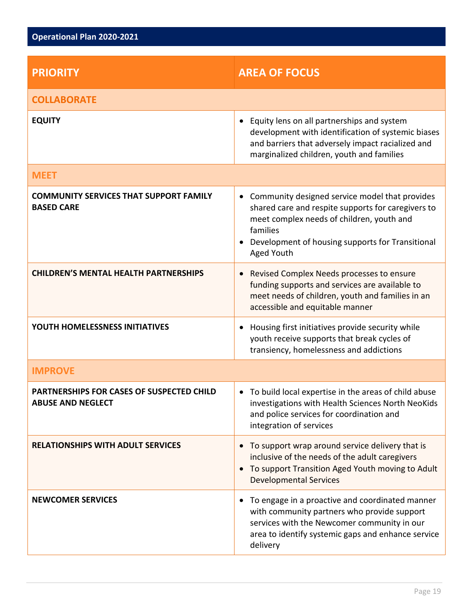| <b>PRIORITY</b>                                                       | <b>AREA OF FOCUS</b>                                                                                                                                                                                                                                      |
|-----------------------------------------------------------------------|-----------------------------------------------------------------------------------------------------------------------------------------------------------------------------------------------------------------------------------------------------------|
| <b>COLLABORATE</b>                                                    |                                                                                                                                                                                                                                                           |
| <b>EQUITY</b>                                                         | Equity lens on all partnerships and system<br>$\bullet$<br>development with identification of systemic biases<br>and barriers that adversely impact racialized and<br>marginalized children, youth and families                                           |
| <b>MEET</b>                                                           |                                                                                                                                                                                                                                                           |
| <b>COMMUNITY SERVICES THAT SUPPORT FAMILY</b><br><b>BASED CARE</b>    | Community designed service model that provides<br>$\bullet$<br>shared care and respite supports for caregivers to<br>meet complex needs of children, youth and<br>families<br>Development of housing supports for Transitional<br>$\bullet$<br>Aged Youth |
| <b>CHILDREN'S MENTAL HEALTH PARTNERSHIPS</b>                          | Revised Complex Needs processes to ensure<br>$\bullet$<br>funding supports and services are available to<br>meet needs of children, youth and families in an<br>accessible and equitable manner                                                           |
| YOUTH HOMELESSNESS INITIATIVES                                        | Housing first initiatives provide security while<br>$\bullet$<br>youth receive supports that break cycles of<br>transiency, homelessness and addictions                                                                                                   |
| <b>IMPROVE</b>                                                        |                                                                                                                                                                                                                                                           |
| PARTNERSHIPS FOR CASES OF SUSPECTED CHILD<br><b>ABUSE AND NEGLECT</b> | • To build local expertise in the areas of child abuse<br>investigations with Health Sciences North NeoKids<br>and police services for coordination and<br>integration of services                                                                        |
| <b>RELATIONSHIPS WITH ADULT SERVICES</b>                              | To support wrap around service delivery that is<br>$\bullet$<br>inclusive of the needs of the adult caregivers<br>To support Transition Aged Youth moving to Adult<br>$\bullet$<br><b>Developmental Services</b>                                          |
| <b>NEWCOMER SERVICES</b>                                              | To engage in a proactive and coordinated manner<br>$\bullet$<br>with community partners who provide support<br>services with the Newcomer community in our<br>area to identify systemic gaps and enhance service<br>delivery                              |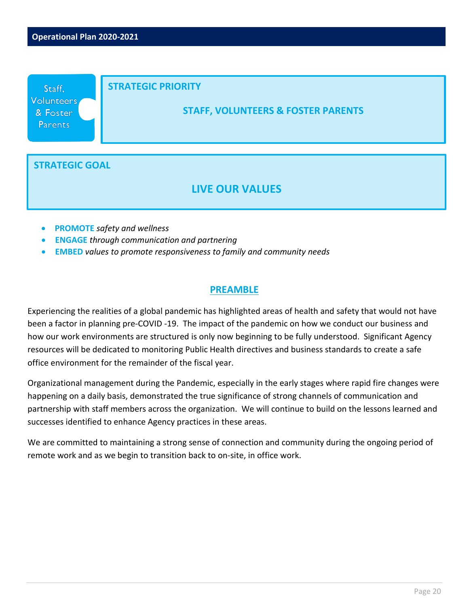

- **PROMOTE** *safety and wellness*
- **ENGAGE** *through communication and partnering*
- **EMBED** *values to promote responsiveness to family and community needs*

Experiencing the realities of a global pandemic has highlighted areas of health and safety that would not have been a factor in planning pre-COVID -19. The impact of the pandemic on how we conduct our business and how our work environments are structured is only now beginning to be fully understood. Significant Agency resources will be dedicated to monitoring Public Health directives and business standards to create a safe office environment for the remainder of the fiscal year.

Organizational management during the Pandemic, especially in the early stages where rapid fire changes were happening on a daily basis, demonstrated the true significance of strong channels of communication and partnership with staff members across the organization. We will continue to build on the lessons learned and successes identified to enhance Agency practices in these areas.

We are committed to maintaining a strong sense of connection and community during the ongoing period of remote work and as we begin to transition back to on-site, in office work.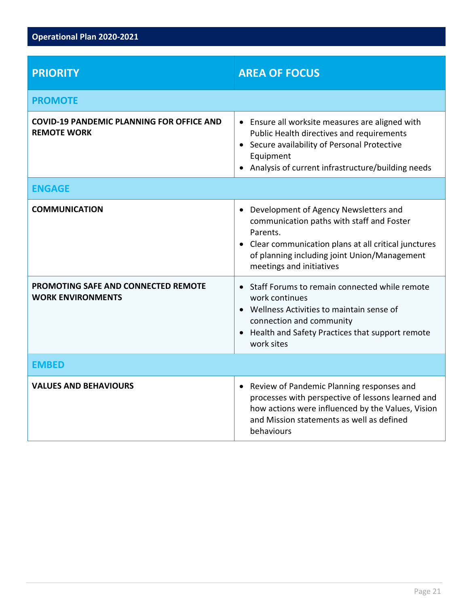| <b>PRIORITY</b>                                                        | <b>AREA OF FOCUS</b>                                                                                                                                                                                                                  |
|------------------------------------------------------------------------|---------------------------------------------------------------------------------------------------------------------------------------------------------------------------------------------------------------------------------------|
| <b>PROMOTE</b>                                                         |                                                                                                                                                                                                                                       |
| <b>COVID-19 PANDEMIC PLANNING FOR OFFICE AND</b><br><b>REMOTE WORK</b> | • Ensure all worksite measures are aligned with<br>Public Health directives and requirements<br>• Secure availability of Personal Protective<br>Equipment<br>• Analysis of current infrastructure/building needs                      |
| <b>ENGAGE</b>                                                          |                                                                                                                                                                                                                                       |
| <b>COMMUNICATION</b>                                                   | • Development of Agency Newsletters and<br>communication paths with staff and Foster<br>Parents.<br>• Clear communication plans at all critical junctures<br>of planning including joint Union/Management<br>meetings and initiatives |
| PROMOTING SAFE AND CONNECTED REMOTE<br><b>WORK ENVIRONMENTS</b>        | • Staff Forums to remain connected while remote<br>work continues<br>• Wellness Activities to maintain sense of<br>connection and community<br>• Health and Safety Practices that support remote<br>work sites                        |
| <b>EMBED</b>                                                           |                                                                                                                                                                                                                                       |
| <b>VALUES AND BEHAVIOURS</b>                                           | • Review of Pandemic Planning responses and<br>processes with perspective of lessons learned and<br>how actions were influenced by the Values, Vision<br>and Mission statements as well as defined<br>behaviours                      |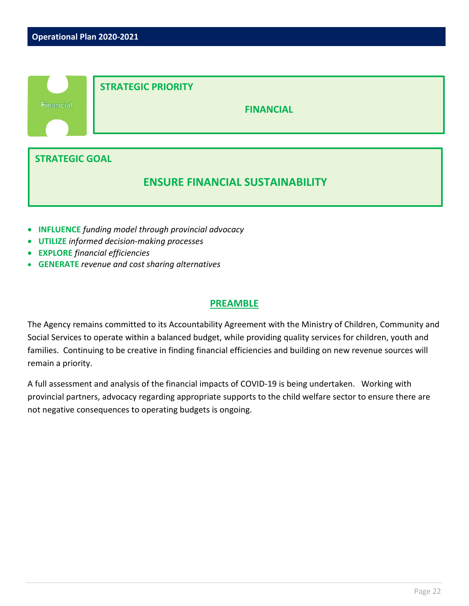

- **INFLUENCE** *funding model through provincial advocacy*
- **UTILIZE** *informed decision-making processes*
- **EXPLORE** *financial efficiencies*
- **GENERATE** *revenue and cost sharing alternatives*

The Agency remains committed to its Accountability Agreement with the Ministry of Children, Community and Social Services to operate within a balanced budget, while providing quality services for children, youth and families. Continuing to be creative in finding financial efficiencies and building on new revenue sources will remain a priority.

A full assessment and analysis of the financial impacts of COVID-19 is being undertaken. Working with provincial partners, advocacy regarding appropriate supports to the child welfare sector to ensure there are not negative consequences to operating budgets is ongoing.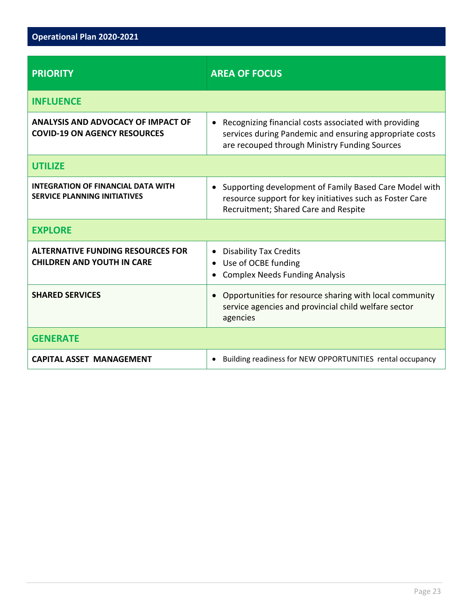| <b>PRIORITY</b>                                                                  | <b>AREA OF FOCUS</b>                                                                                                                                                           |
|----------------------------------------------------------------------------------|--------------------------------------------------------------------------------------------------------------------------------------------------------------------------------|
| <b>INFLUENCE</b>                                                                 |                                                                                                                                                                                |
| <b>ANALYSIS AND ADVOCACY OF IMPACT OF</b><br><b>COVID-19 ON AGENCY RESOURCES</b> | Recognizing financial costs associated with providing<br>$\bullet$<br>services during Pandemic and ensuring appropriate costs<br>are recouped through Ministry Funding Sources |
| <b>UTILIZE</b>                                                                   |                                                                                                                                                                                |
| <b>INTEGRATION OF FINANCIAL DATA WITH</b><br><b>SERVICE PLANNING INITIATIVES</b> | Supporting development of Family Based Care Model with<br>$\bullet$<br>resource support for key initiatives such as Foster Care<br>Recruitment; Shared Care and Respite        |
| <b>EXPLORE</b>                                                                   |                                                                                                                                                                                |
| <b>ALTERNATIVE FUNDING RESOURCES FOR</b><br><b>CHILDREN AND YOUTH IN CARE</b>    | <b>Disability Tax Credits</b><br>$\bullet$<br>Use of OCBE funding<br><b>Complex Needs Funding Analysis</b>                                                                     |
| <b>SHARED SERVICES</b>                                                           | Opportunities for resource sharing with local community<br>service agencies and provincial child welfare sector<br>agencies                                                    |
| <b>GENERATE</b>                                                                  |                                                                                                                                                                                |
| <b>CAPITAL ASSET MANAGEMENT</b>                                                  | Building readiness for NEW OPPORTUNITIES rental occupancy<br>$\bullet$                                                                                                         |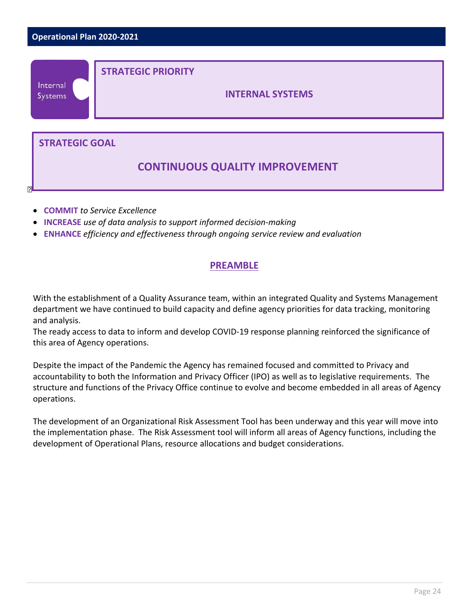

- **COMMIT** *to Service Excellence*
- **INCREASE** *use of data analysis to support informed decision-making*
- **ENHANCE** *efficiency and effectiveness through ongoing service review and evaluation*

With the establishment of a Quality Assurance team, within an integrated Quality and Systems Management department we have continued to build capacity and define agency priorities for data tracking, monitoring and analysis.

The ready access to data to inform and develop COVID-19 response planning reinforced the significance of this area of Agency operations.

Despite the impact of the Pandemic the Agency has remained focused and committed to Privacy and accountability to both the Information and Privacy Officer (IPO) as well as to legislative requirements. The structure and functions of the Privacy Office continue to evolve and become embedded in all areas of Agency operations.

The development of an Organizational Risk Assessment Tool has been underway and this year will move into the implementation phase. The Risk Assessment tool will inform all areas of Agency functions, including the development of Operational Plans, resource allocations and budget considerations.